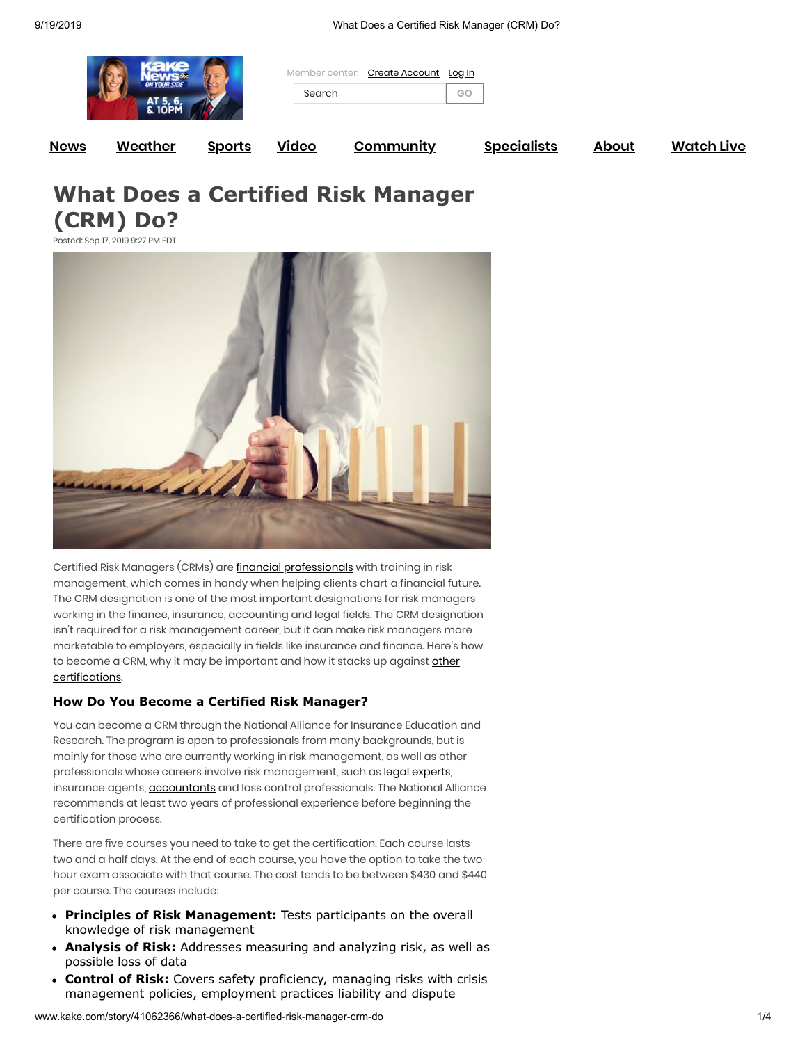| <b>News</b> | <b>Weather</b>                         | <b>Sports</b> | <u>Video</u>                                     | <b>Community</b> |              | <b>Specialists</b> | <b>About</b> | <b>Watch Live</b> |
|-------------|----------------------------------------|---------------|--------------------------------------------------|------------------|--------------|--------------------|--------------|-------------------|
|             | <b>ON YOUR SIDE</b><br>AT 5,<br>N IUPI |               | <b>Create Account</b><br>Member center<br>Search |                  | Log In<br>GO |                    |              |                   |
|             |                                        |               |                                                  |                  |              |                    |              |                   |

**What Does a Certified Risk Manager (CRM) Do?**

Posted: Sep 17, 2019 9:27 PM EDT



Certified Risk Managers (CRMs) are *financial [professionals](https://smartasset.com/financial-advisor/financial-planner-vs-financial-advisor)* with training in risk management, which comes in handy when helping clients chart a financial future. The CRM designation is one of the most important designations for risk managers working in the finance, insurance, accounting and legal fields. The CRM designation isn't required for a risk management career, but it can make risk managers more marketable to employers, especially in fields like insurance and finance. Here's how to become a CRM, why it may be important and how it stacks up against other [certifications.](https://smartasset.com/financial-advisor/top-10-financial-certifications)

#### **How Do You Become a Certified Risk Manager?**

You can become a CRM through the National Alliance for Insurance Education and Research. The program is open to professionals from many backgrounds, but is mainly for those who are currently working in risk management, as well as other professionals whose careers involve risk management, such as legal [experts,](https://smartasset.com/career/the-average-salary-of-a-lawyer) insurance agents, **[accountants](https://smartasset.com/financial-advisor/certified-management-accountant)** and loss control professionals. The National Alliance recommends at least two years of professional experience before beginning the certification process.

There are five courses you need to take to get the certification. Each course lasts two and a half days. At the end of each course, you have the option to take the twohour exam associate with that course. The cost tends to be between \$430 and \$440 per course. The courses include:

- **Principles of Risk Management:** Tests participants on the overall knowledge of risk management
- **Analysis of Risk:** Addresses measuring and analyzing risk, as well as possible loss of data
- **Control of Risk:** Covers safety proficiency, managing risks with crisis management policies, employment practices liability and dispute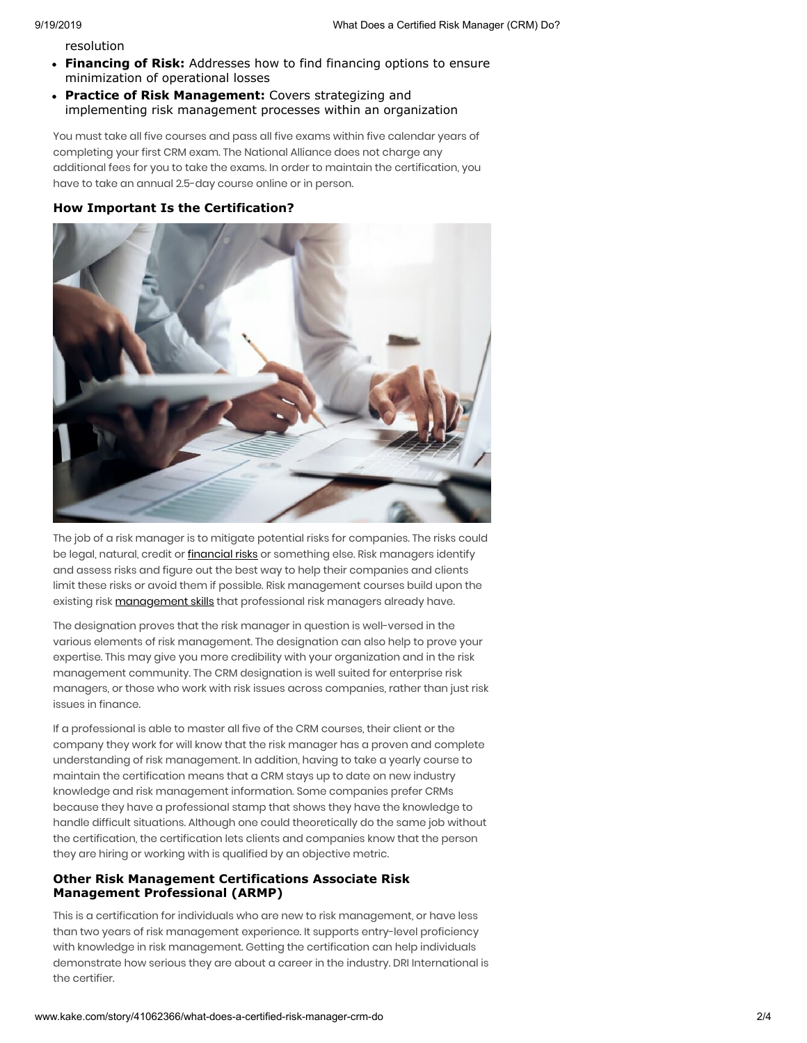resolution

- **Financing of Risk:** Addresses how to find financing options to ensure minimization of operational losses
- **Practice of Risk Management:** Covers strategizing and implementing risk management processes within an organization

You must take all five courses and pass all five exams within five calendar years of completing your first CRM exam. The National Alliance does not charge any additional fees for you to take the exams. In order to maintain the certification, you have to take an annual 2.5-day course online or in person.

#### **How Important Is the Certification?**



The job of a risk manager is to mitigate potential risks for companies. The risks could be legal, natural, credit or *[financial](https://smartasset.com/investing/risk-tolerance) risks* or something else. Risk managers identify and assess risks and figure out the best way to help their companies and clients limit these risks or avoid them if possible. Risk management courses build upon the existing risk [management skills](https://smartasset.com/career/3-steps-to-effective-management) that professional risk managers already have.

The designation proves that the risk manager in question is well-versed in the various elements of risk management. The designation can also help to prove your expertise. This may give you more credibility with your organization and in the risk management community. The CRM designation is well suited for enterprise risk managers, or those who work with risk issues across companies, rather than just risk issues in finance.

If a professional is able to master all five of the CRM courses, their client or the company they work for will know that the risk manager has a proven and complete understanding of risk management. In addition, having to take a yearly course to maintain the certification means that a CRM stays up to date on new industry knowledge and risk management information. Some companies prefer CRMs because they have a professional stamp that shows they have the knowledge to handle difficult situations. Although one could theoretically do the same job without the certification, the certification lets clients and companies know that the person they are hiring or working with is qualified by an objective metric.

#### **Other Risk Management Certifications Associate Risk Management Professional (ARMP)**

This is a certification for individuals who are new to risk management, or have less than two years of risk management experience. It supports entry-level proficiency with knowledge in risk management. Getting the certification can help individuals demonstrate how serious they are about a career in the industry. DRI International is the certifier.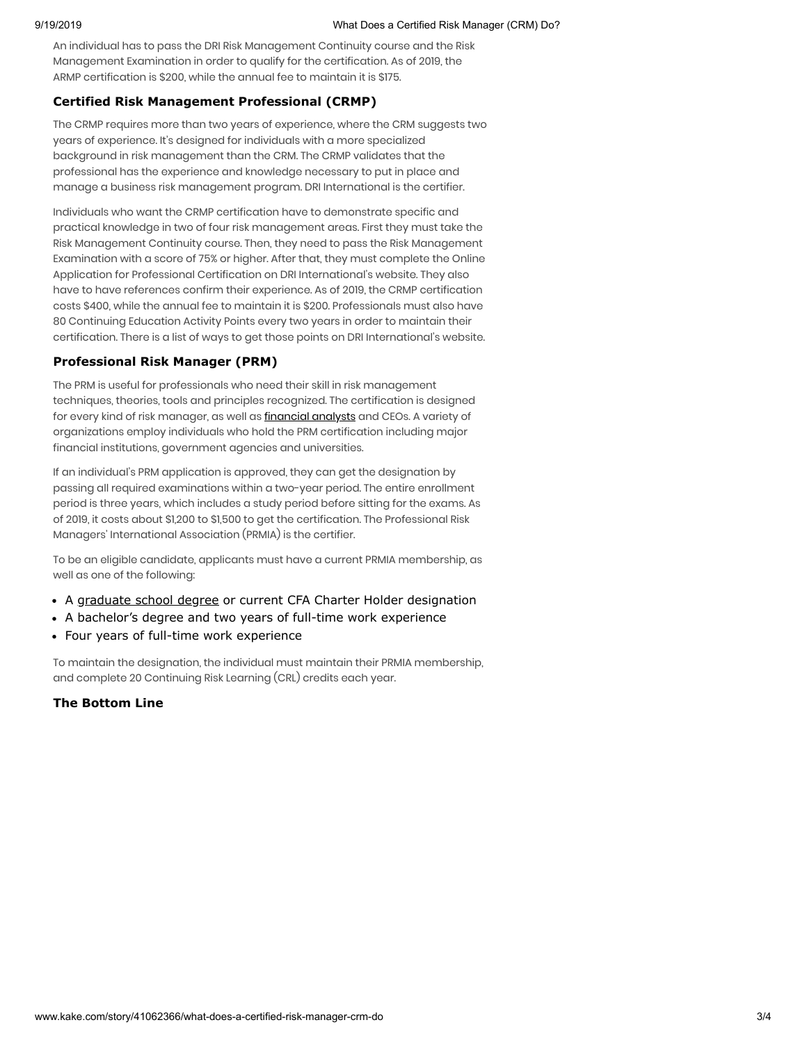An individual has to pass the DRI Risk Management Continuity course and the Risk Management Examination in order to qualify for the certification. As of 2019, the ARMP certification is \$200, while the annual fee to maintain it is \$175.

### **Certified Risk Management Professional (CRMP)**

The CRMP requires more than two years of experience, where the CRM suggests two years of experience. It's designed for individuals with a more specialized background in risk management than the CRM. The CRMP validates that the professional has the experience and knowledge necessary to put in place and manage a business risk management program. DRI International is the certifier.

Individuals who want the CRMP certification have to demonstrate specific and practical knowledge in two of four risk management areas. First they must take the Risk Management Continuity course. Then, they need to pass the Risk Management Examination with a score of 75% or higher. After that, they must complete the Online Application for Professional Certification on DRI International's website. They also have to have references confirm their experience. As of 2019, the CRMP certification costs \$400, while the annual fee to maintain it is \$200. Professionals must also have 80 Continuing Education Activity Points every two years in order to maintain their certification. There is a list of ways to get those points on DRI International's website.

# **Professional Risk Manager (PRM)**

The PRM is useful for professionals who need their skill in risk management techniques, theories, tools and principles recognized. The certification is designed for every kind of risk manager, as well as [financial](https://smartasset.com/investing/certified-investment-management-analyst) analysts and CEOs. A variety of organizations employ individuals who hold the PRM certification including major financial institutions, government agencies and universities.

If an individual's PRM application is approved, they can get the designation by passing all required examinations within a two-year period. The entire enrollment period is three years, which includes a study period before sitting for the exams. As of 2019, it costs about \$1,200 to \$1,500 to get the certification. The Professional Risk Managers' International Association (PRMIA) is the certifier.

To be an eligible candidate, applicants must have a current PRMIA membership, as well as one of the following:

- A [graduate school](https://smartasset.com/career/5-reasons-to-return-to-graduate-school) degree or current CFA Charter Holder designation
- A bachelor's degree and two years of full-time work experience
- Four years of full-time work experience

To maintain the designation, the individual must maintain their PRMIA membership, and complete 20 Continuing Risk Learning (CRL) credits each year.

# **The Bottom Line**